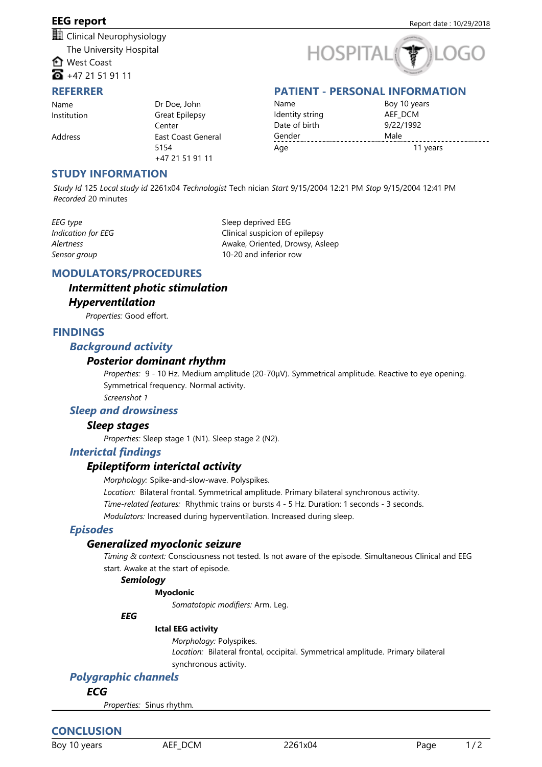# **EEG report** Report date: 10/29/2018

**II** Clinical Neurophysiology The University Hospital **the** West Coast

 $\overline{6}$  +47 21 51 91 11

#### **REFERRER**

# **HOSPITA**

# **PATIENT - PERSONAL INFORMATION**

Name
 Institution

Address

Dr Doe, John
 Great Epilepsy 
 Center
 East Coast General 
 5154
 +47 21 51 91 11

Name
 Identity string
 Date of birth
 Gender Boy 10 years
 AEF\_DCM
 9/22/1992
 Male Age 11 years 11 years

## **STUDY INFORMATION**

*Study Id* 125 *Local study id* 2261x04 *Technologist* Tech nician *Start* 9/15/2004 12:21 PM *Stop* 9/15/2004 12:41 PM *Recorded* 20 minutes

*EEG type* Sleep deprived EEG *Indication for EEG* extends the Clinical suspicion of epilepsy *Alertness* Awake, Oriented, Drowsy, Asleep *Sensor group* 10-20 and inferior row

# **MODULATORS/PROCEDURES**

# *Intermittent photic stimulation Hyperventilation*

Properties: Good effort.

# **FINDINGS**

## *Background activity*

## *Posterior dominant rhythm*

*Properties:* 9 - 10 Hz. Medium amplitude (20-70μV). Symmetrical amplitude. Reactive to eye opening. Symmetrical frequency. Normal activity.

*Screenshot 1*

## *Sleep and drowsiness*

## *Sleep stages*

*Properties: Sleep stage 1 (N1). Sleep stage 2 (N2).* 

## *Interictal findings*

# *Epileptiform interictal activity*

*Morphology: Spike-and-slow-wave. Polyspikes.* 

Location: Bilateral frontal. Symmetrical amplitude. Primary bilateral synchronous activity.

*Time-related features:* Rhythmic trains or bursts 4 - 5 Hz. Duration: 1 seconds - 3 seconds.

*Modulators: Increased during hyperventilation. Increased during sleep.* 

## *Episodes*

## *Generalized myoclonic seizure*

*Timing & context: Consciousness not tested. Is not aware of the episode. Simultaneous Clinical and EEG* start. Awake at the start of episode.

#### *Semiology*

#### **Myoclonic**

*Somatotopic modifiers:* Arm. Leg.

#### *EEG*

#### **Ictal EEG activity**

*Morphology: Polyspikes.* Location: Bilateral frontal, occipital. Symmetrical amplitude. Primary bilateral synchronous activity.

# *Polygraphic channels*

*ECG*

*Properties:* Sinus rhythm.

# **CONCLUSION**

Boy 10 years AEF\_DCM 2261x04 Page 1 / 2